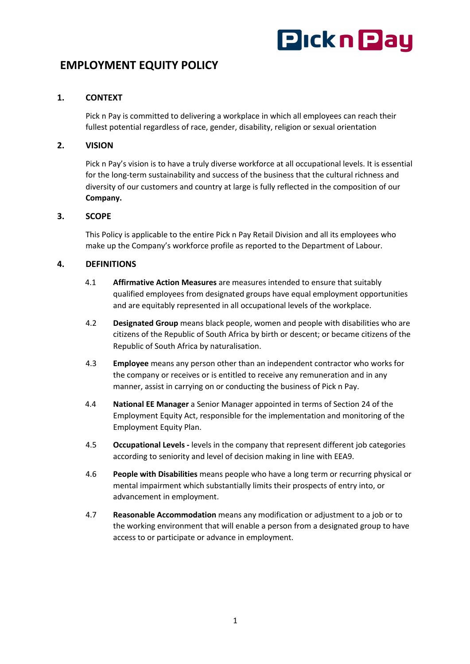# **Pickn Pay**

## **EMPLOYMENT EQUITY POLICY**

### **1. CONTEXT**

Pick n Pay is committed to delivering a workplace in which all employees can reach their fullest potential regardless of race, gender, disability, religion or sexual orientation

#### **2. VISION**

Pick n Pay's vision is to have a truly diverse workforce at all occupational levels. It is essential for the long-term sustainability and success of the business that the cultural richness and diversity of our customers and country at large is fully reflected in the composition of our **Company.**

#### **3. SCOPE**

This Policy is applicable to the entire Pick n Pay Retail Division and all its employees who make up the Company's workforce profile as reported to the Department of Labour.

#### **4. DEFINITIONS**

- 4.1 **Affirmative Action Measures** are measures intended to ensure that suitably qualified employees from designated groups have equal employment opportunities and are equitably represented in all occupational levels of the workplace.
- 4.2 **Designated Group** means black people, women and people with disabilities who are citizens of the Republic of South Africa by birth or descent; or became citizens of the Republic of South Africa by naturalisation.
- 4.3 **Employee** means any person other than an independent contractor who works for the company or receives or is entitled to receive any remuneration and in any manner, assist in carrying on or conducting the business of Pick n Pay.
- 4.4 **National EE Manager** a Senior Manager appointed in terms of Section 24 of the Employment Equity Act, responsible for the implementation and monitoring of the Employment Equity Plan.
- 4.5 **Occupational Levels -** levels in the company that represent different job categories according to seniority and level of decision making in line with EEA9.
- 4.6 **People with Disabilities** means people who have a long term or recurring physical or mental impairment which substantially limits their prospects of entry into, or advancement in employment.
- 4.7 **Reasonable Accommodation** means any modification or adjustment to a job or to the working environment that will enable a person from a designated group to have access to or participate or advance in employment.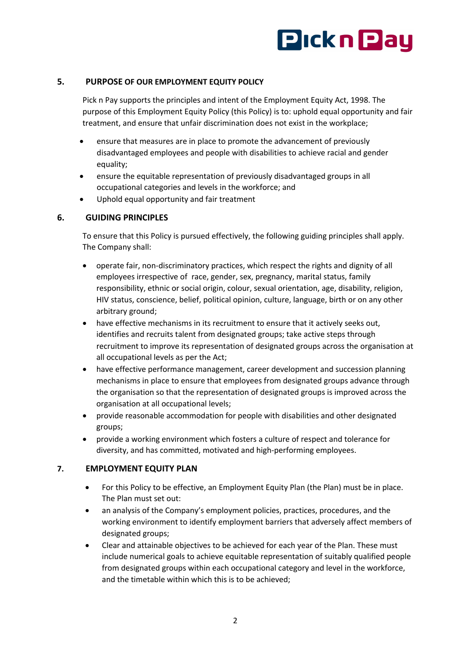

#### **5. PURPOSE OF OUR EMPLOYMENT EQUITY POLICY**

Pick n Pay supports the principles and intent of the Employment Equity Act, 1998. The purpose of this Employment Equity Policy (this Policy) is to: uphold equal opportunity and fair treatment, and ensure that unfair discrimination does not exist in the workplace;

- ensure that measures are in place to promote the advancement of previously disadvantaged employees and people with disabilities to achieve racial and gender equality;
- ensure the equitable representation of previously disadvantaged groups in all occupational categories and levels in the workforce; and
- Uphold equal opportunity and fair treatment

#### **6. GUIDING PRINCIPLES**

To ensure that this Policy is pursued effectively, the following guiding principles shall apply. The Company shall:

- operate fair, non-discriminatory practices, which respect the rights and dignity of all employees irrespective of race, gender, sex, pregnancy, marital status, family responsibility, ethnic or social origin, colour, sexual orientation, age, disability, religion, HIV status, conscience, belief, political opinion, culture, language, birth or on any other arbitrary ground;
- have effective mechanisms in its recruitment to ensure that it actively seeks out, identifies and recruits talent from designated groups; take active steps through recruitment to improve its representation of designated groups across the organisation at all occupational levels as per the Act;
- have effective performance management, career development and succession planning mechanisms in place to ensure that employees from designated groups advance through the organisation so that the representation of designated groups is improved across the organisation at all occupational levels;
- provide reasonable accommodation for people with disabilities and other designated groups;
- provide a working environment which fosters a culture of respect and tolerance for diversity, and has committed, motivated and high-performing employees.

#### **7. EMPLOYMENT EQUITY PLAN**

- For this Policy to be effective, an Employment Equity Plan (the Plan) must be in place. The Plan must set out:
- an analysis of the Company's employment policies, practices, procedures, and the working environment to identify employment barriers that adversely affect members of designated groups;
- Clear and attainable objectives to be achieved for each year of the Plan. These must include numerical goals to achieve equitable representation of suitably qualified people from designated groups within each occupational category and level in the workforce, and the timetable within which this is to be achieved;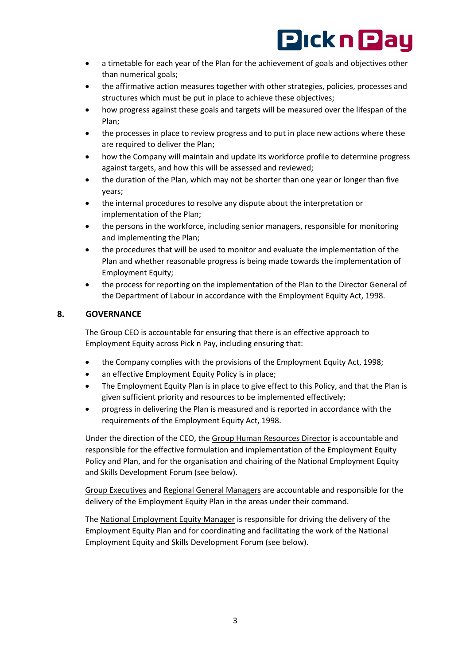

- a timetable for each year of the Plan for the achievement of goals and objectives other than numerical goals;
- the affirmative action measures together with other strategies, policies, processes and structures which must be put in place to achieve these objectives;
- how progress against these goals and targets will be measured over the lifespan of the Plan;
- the processes in place to review progress and to put in place new actions where these are required to deliver the Plan;
- how the Company will maintain and update its workforce profile to determine progress against targets, and how this will be assessed and reviewed;
- the duration of the Plan, which may not be shorter than one year or longer than five years;
- the internal procedures to resolve any dispute about the interpretation or implementation of the Plan;
- the persons in the workforce, including senior managers, responsible for monitoring and implementing the Plan;
- the procedures that will be used to monitor and evaluate the implementation of the Plan and whether reasonable progress is being made towards the implementation of Employment Equity;
- the process for reporting on the implementation of the Plan to the Director General of the Department of Labour in accordance with the Employment Equity Act, 1998.

#### **8. GOVERNANCE**

The Group CEO is accountable for ensuring that there is an effective approach to Employment Equity across Pick n Pay, including ensuring that:

- the Company complies with the provisions of the Employment Equity Act, 1998;
- an effective Employment Equity Policy is in place;
- The Employment Equity Plan is in place to give effect to this Policy, and that the Plan is given sufficient priority and resources to be implemented effectively;
- progress in delivering the Plan is measured and is reported in accordance with the requirements of the Employment Equity Act, 1998.

Under the direction of the CEO, the Group Human Resources Director is accountable and responsible for the effective formulation and implementation of the Employment Equity Policy and Plan, and for the organisation and chairing of the National Employment Equity and Skills Development Forum (see below).

Group Executives and Regional General Managers are accountable and responsible for the delivery of the Employment Equity Plan in the areas under their command.

The National Employment Equity Manager is responsible for driving the delivery of the Employment Equity Plan and for coordinating and facilitating the work of the National Employment Equity and Skills Development Forum (see below).